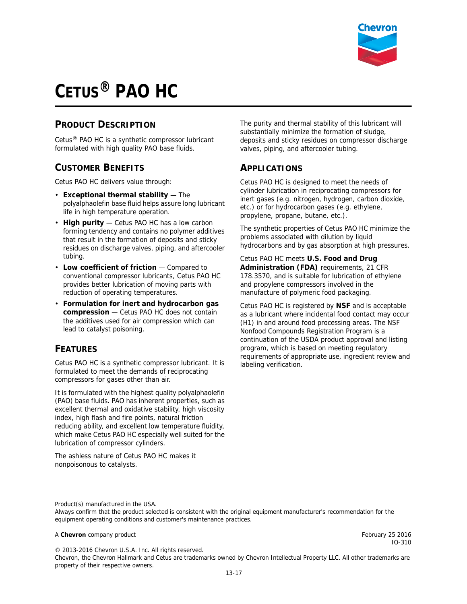

# **CETUS® PAO HC**

#### **PRODUCT DESCRIPTION**

Cetus® PAO HC is a synthetic compressor lubricant formulated with high quality PAO base fluids.

#### **CUSTOMER BENEFITS**

Cetus PAO HC delivers value through:

- **Exceptional thermal stability**  The polyalphaolefin base fluid helps assure long lubricant life in high temperature operation.
- **High purity**  Cetus PAO HC has a low carbon forming tendency and contains no polymer additives that result in the formation of deposits and sticky residues on discharge valves, piping, and aftercooler tubing.
- **Low coefficient of friction** Compared to conventional compressor lubricants, Cetus PAO HC provides better lubrication of moving parts with reduction of operating temperatures.
- **Formulation for inert and hydrocarbon gas compression** — Cetus PAO HC does not contain the additives used for air compression which can lead to catalyst poisoning.

### **FEATURES**

Cetus PAO HC is a synthetic compressor lubricant. It is formulated to meet the demands of reciprocating compressors for gases other than air.

It is formulated with the highest quality polyalphaolefin (PAO) base fluids. PAO has inherent properties, such as excellent thermal and oxidative stability, high viscosity index, high flash and fire points, natural friction reducing ability, and excellent low temperature fluidity, which make Cetus PAO HC especially well suited for the lubrication of compressor cylinders.

The ashless nature of Cetus PAO HC makes it nonpoisonous to catalysts.

The purity and thermal stability of this lubricant will substantially minimize the formation of sludge, deposits and sticky residues on compressor discharge valves, piping, and aftercooler tubing.

#### **APPLICATIONS**

Cetus PAO HC is designed to meet the needs of cylinder lubrication in reciprocating compressors for inert gases (e.g. nitrogen, hydrogen, carbon dioxide, etc.) or for hydrocarbon gases (e.g. ethylene, propylene, propane, butane, etc.).

The synthetic properties of Cetus PAO HC minimize the problems associated with dilution by liquid hydrocarbons and by gas absorption at high pressures.

Cetus PAO HC meets **U.S. Food and Drug Administration (FDA)** requirements, 21 CFR 178.3570, and is suitable for lubrication of ethylene and propylene compressors involved in the manufacture of polymeric food packaging.

Cetus PAO HC is registered by **NSF** and is acceptable as a lubricant where incidental food contact may occur (H1) in and around food processing areas. The NSF Nonfood Compounds Registration Program is a continuation of the USDA product approval and listing program, which is based on meeting regulatory requirements of appropriate use, ingredient review and labeling verification.

Product(s) manufactured in the USA. Always confirm that the product selected is consistent with the original equipment manufacturer's recommendation for the equipment operating conditions and customer's maintenance practices.

#### A **Chevron** company product February 25 2016

© 2013-2016 Chevron U.S.A. Inc. All rights reserved. Chevron, the Chevron Hallmark and Cetus are trademarks owned by Chevron Intellectual Property LLC. All other trademarks are

property of their respective owners.

IO-310